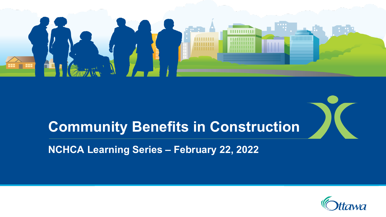

# **Community Benefits in Construction**

**NCHCA Learning Series – February 22, 2022**

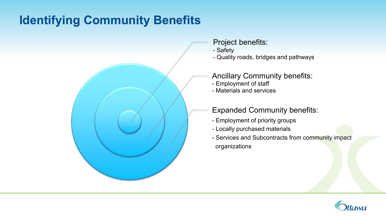# **Identifying Community Benefits**



- Project benefits:
- Safety
- Quality roads, bridges and pathways

Ancillary Community benefits:

- Employment of staff
- Materials and services

#### Expanded Community benefits:

- Employment of priority groups
- Locally purchased materials
- Services and Subcontracts from community impact organizations

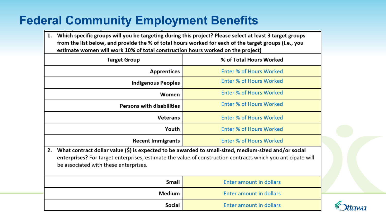## **Federal Community Employment Benefits**

1. Which specific groups will you be targeting during this project? Please select at least 3 target groups from the list below, and provide the % of total hours worked for each of the target groups (i.e., you estimate women will work 10% of total construction hours worked on the project)

| % of Total Hours Worked                                                                                                                                                                                                                                            |  |
|--------------------------------------------------------------------------------------------------------------------------------------------------------------------------------------------------------------------------------------------------------------------|--|
| <b>Enter % of Hours Worked</b>                                                                                                                                                                                                                                     |  |
| <b>Enter % of Hours Worked</b>                                                                                                                                                                                                                                     |  |
| <b>Enter % of Hours Worked</b>                                                                                                                                                                                                                                     |  |
| <b>Enter % of Hours Worked</b>                                                                                                                                                                                                                                     |  |
| <b>Enter % of Hours Worked</b>                                                                                                                                                                                                                                     |  |
| <b>Enter % of Hours Worked</b>                                                                                                                                                                                                                                     |  |
| <b>Enter % of Hours Worked</b>                                                                                                                                                                                                                                     |  |
| What contract dollar value (\$) is expected to be awarded to small-sized, medium-sized and/or social<br>2.<br>enterprises? For target enterprises, estimate the value of construction contracts which you anticipate will<br>be associated with these enterprises. |  |
| <b>Enter amount in dollars</b>                                                                                                                                                                                                                                     |  |
|                                                                                                                                                                                                                                                                    |  |

**Enter amount in dollars** 

**Enter amount in dollars** 

Medium

Social

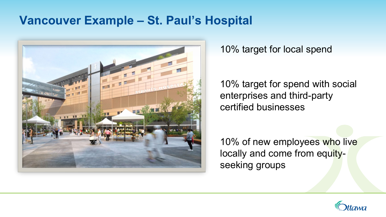#### **Vancouver Example – St. Paul's Hospital**



10% target for local spend

10% target for spend with social enterprises and third-party certified businesses

10% of new employees who live locally and come from equityseeking groups

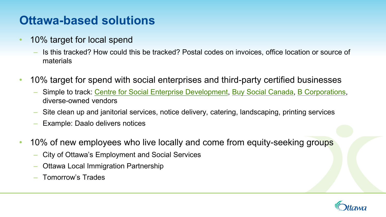#### **Ottawa-based solutions**

- 10% target for local spend
	- Is this tracked? How could this be tracked? Postal codes on invoices, office location or source of materials
- 10% target for spend with social enterprises and third-party certified businesses
	- Simple to track: [Centre for Social Enterprise Development,](https://csedottawa.ca/ottawa-se-directory/) [Buy Social Canada,](https://www.buysocialcanada.com/directories/certified-social-enterprises/?location=null&product=null&value=null) [B Corporations,](https://www.bcorporation.net/en-us/find-a-b-corp/) diverse-owned vendors
	- Site clean up and janitorial services, notice delivery, catering, landscaping, printing services
	- Example: Daalo delivers notices
- 10% of new employees who live locally and come from equity-seeking groups
	- City of Ottawa's Employment and Social Services
	- Ottawa Local Immigration Partnership
	- Tomorrow's Trades

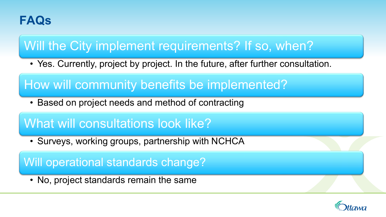#### **FAQs**

### Will the City implement requirements? If so, when?

• Yes. Currently, project by project. In the future, after further consultation.

How will community benefits be implemented?

• Based on project needs and method of contracting

#### What will consultations look like?

• Surveys, working groups, partnership with NCHCA

Will operational standards change?

• No, project standards remain the same